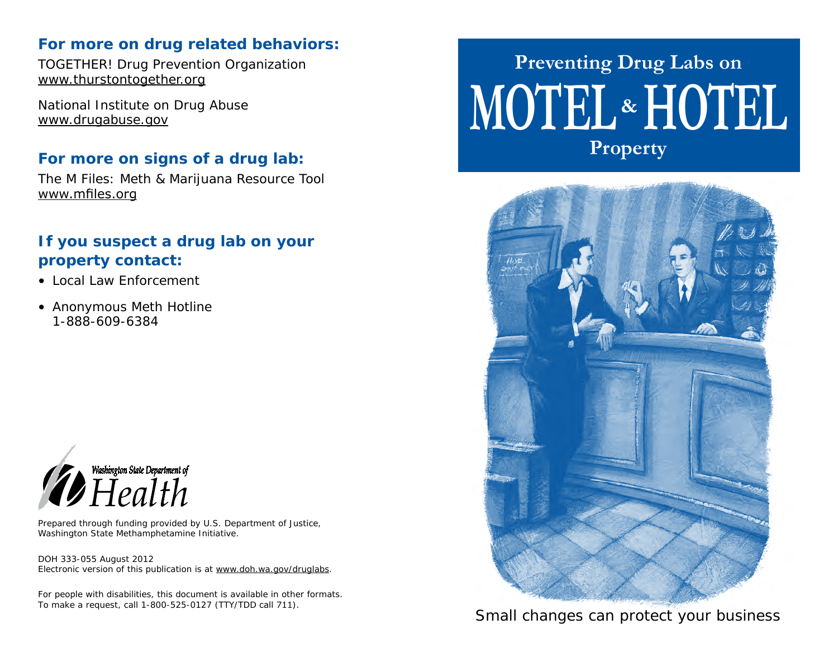#### **For more on drug related behaviors:**

TOGETHER! Drug Prevention Organization www.thurstontogether.org

National Institute on Drug Abuse www.drugabuse.gov

### **For more on signs of a drug lab:**

The M Files: Meth & Marijuana Resource Tool www.mfiles.org

### **If you suspect a drug lab on your property contact:**

- Local Law Enforcement
- Anonymous Meth Hotline 1-888-609-6384



Prepared through funding provided by U.S. Department of Justice, Washington State Methamphetamine Initiative.

DOH 333-055 August 2012 Electronic version of this publication is at www.doh.wa.gov/druglabs.

For people with disabilities, this document is available in other formats. To make a request, call 1-800-525-0127 (TTY/TDD call 711).

# **MOTEL HOTEL & Preventing Drug Labs on Property**



*Small changes can protect your business*